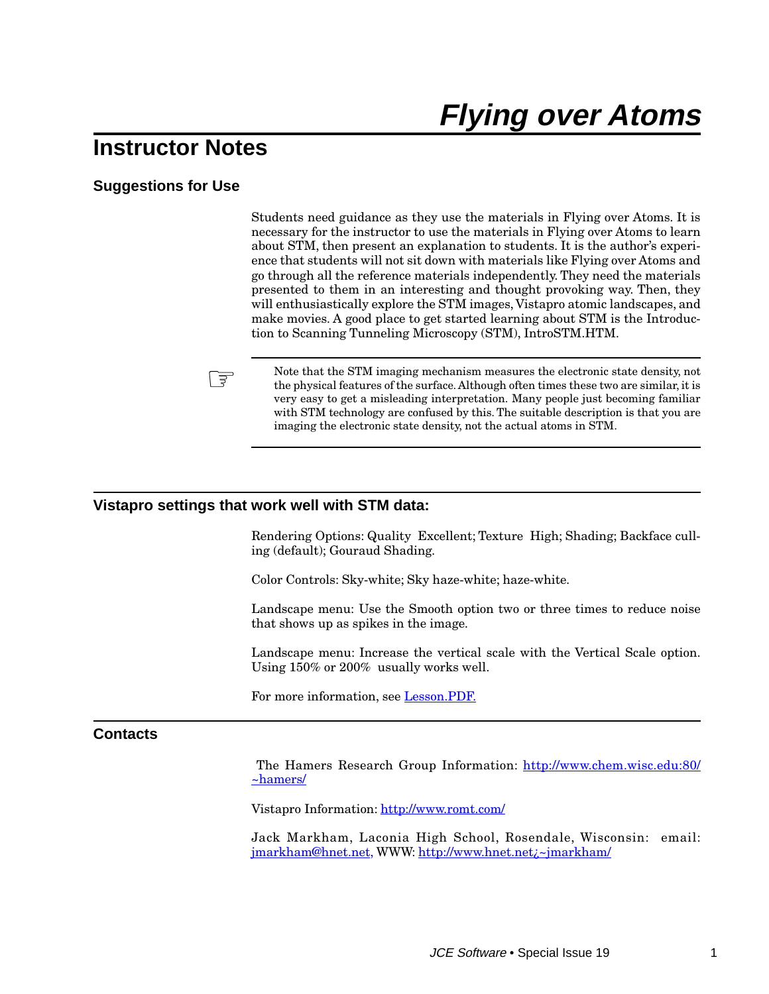# **Flying over Atoms**

# **Instructor Notes**

# **Suggestions for Use**

Students need guidance as they use the materials in Flying over Atoms. It is necessary for the instructor to use the materials in Flying over Atoms to learn about STM, then present an explanation to students. It is the author's experience that students will not sit down with materials like Flying over Atoms and go through all the reference materials independently. They need the materials presented to them in an interesting and thought provoking way. Then, they will enthusiastically explore the STM images, Vistapro atomic landscapes, and make movies. A good place to get started learning about STM is the Introduction to Scanning Tunneling Microscopy (STM), IntroSTM.HTM.



Note that the STM imaging mechanism measures the electronic state density, not<br>the physical features of the surface. Although often times these two are similar, it is very easy to get a misleading interpretation. Many people just becoming familiar with STM technology are confused by this. The suitable description is that you are imaging the electronic state density, not the actual atoms in STM.

#### **Vistapro settings that work well with STM data:**

Rendering Options: Quality Excellent; Texture High; Shading; Backface culling (default); Gouraud Shading.

Color Controls: Sky-white; Sky haze-white; haze-white.

Landscape menu: Use the Smooth option two or three times to reduce noise that shows up as spikes in the image.

Landscape menu: Increase the vertical scale with the Vertical Scale option. Using 150% or 200% usually works well.

For more information, see **Lesson.PDF**.

## **Contacts**

 The Hamers Research Group Information: [http://www.chem.wisc.edu:80/](http://www.chem.wisc.edu:80/~hamers/) [~hamers/](http://www.chem.wisc.edu:80/~hamers/)

Vistapro Information: <http://www.romt.com/>

Jack Markham, Laconia High School, Rosendale, Wisconsin: email: [jmarkham@hnet.net,](mailto:jmarkham@hnet.net) WWW: [http://www.hnet.net¿~jmarkham/](http://www.hnet.net/~jmarkham/)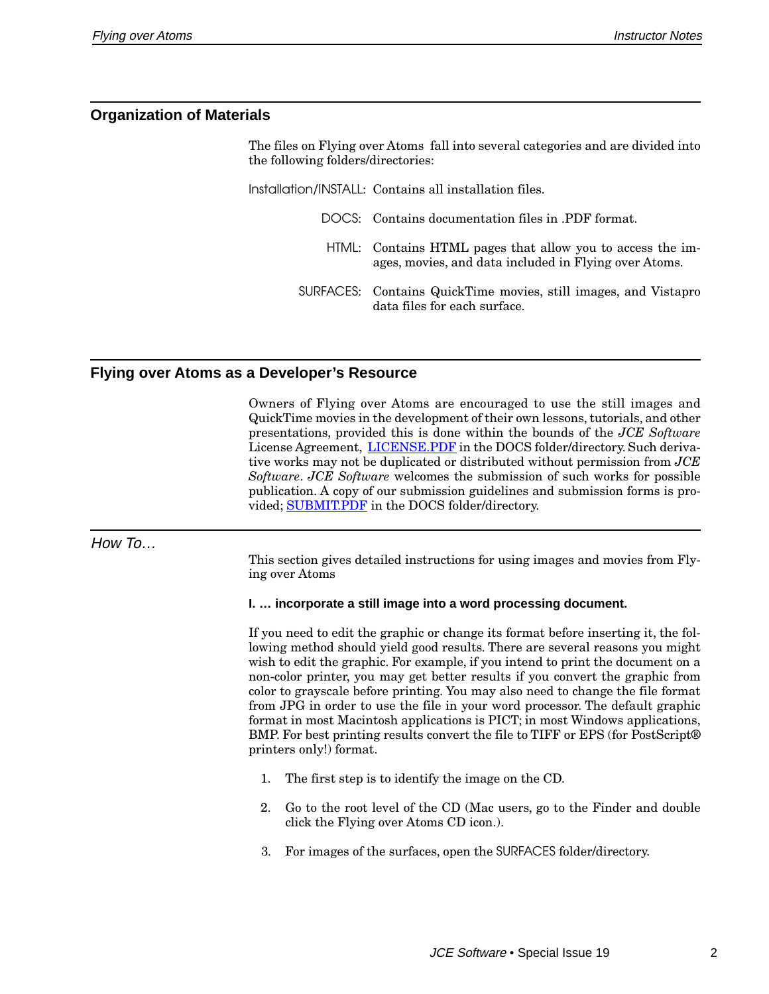## **Organization of Materials**

The files on Flying over Atoms fall into several categories and are divided into the following folders/directories:

Installation/INSTALL: Contains all installation files. DOCS: Contains documentation files in .PDF format. HTML: Contains HTML pages that allow you to access the images, movies, and data included in Flying over Atoms. SURFACES: Contains QuickTime movies, still images, and Vistapro data files for each surface.

## **Flying over Atoms as a Developer's Resource**

Owners of Flying over Atoms are encouraged to use the still images and QuickTime movies in the development of their own lessons, tutorials, and other presentations, provided this is done within the bounds of the *JCE Software* License Agreement, LICENSE.PDF in the DOCS folder/directory. Such derivative works may not be duplicated or distributed without permission from *JCE Software*. *JCE Software* welcomes the submission of such works for possible publication. A copy of our submission guidelines and submission forms is provided; SUBMIT.PDF in the DOCS folder/directory.

#### How To…

This section gives detailed instructions for using images and movies from Flying over Atoms

#### **I. … incorporate a still image into a word processing document.**

If you need to edit the graphic or change its format before inserting it, the following method should yield good results. There are several reasons you might wish to edit the graphic. For example, if you intend to print the document on a non-color printer, you may get better results if you convert the graphic from color to grayscale before printing. You may also need to change the file format from JPG in order to use the file in your word processor. The default graphic format in most Macintosh applications is PICT; in most Windows applications, BMP. For best printing results convert the file to TIFF or EPS (for PostScript® printers only!) format.

- 1. The first step is to identify the image on the CD.
- 2. Go to the root level of the CD (Mac users, go to the Finder and double click the Flying over Atoms CD icon.).
- 3. For images of the surfaces, open the SURFACES folder/directory.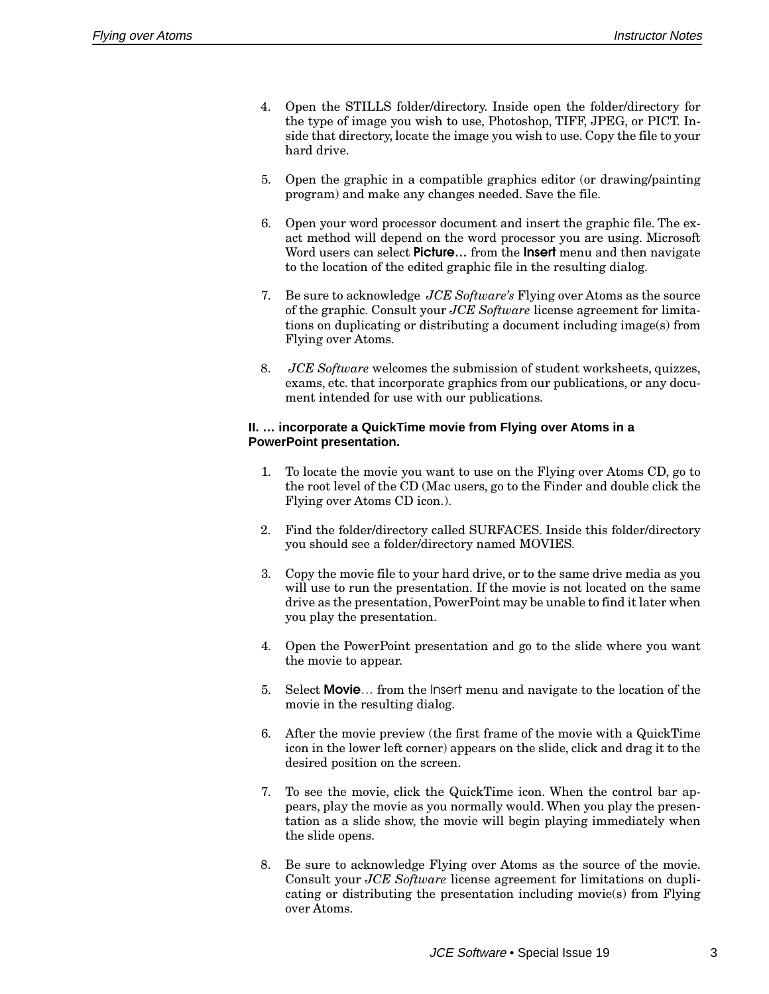- 4. Open the STILLS folder/directory. Inside open the folder/directory for the type of image you wish to use, Photoshop, TIFF, JPEG, or PICT. Inside that directory, locate the image you wish to use. Copy the file to your hard drive.
- 5. Open the graphic in a compatible graphics editor (or drawing/painting program) and make any changes needed. Save the file.
- 6. Open your word processor document and insert the graphic file. The exact method will depend on the word processor you are using. Microsoft Word users can select **Picture…** from the **Insert** menu and then navigate to the location of the edited graphic file in the resulting dialog.
- 7. Be sure to acknowledge *JCE Software's* Flying over Atoms as the source of the graphic. Consult your *JCE Software* license agreement for limitations on duplicating or distributing a document including image(s) from Flying over Atoms.
- 8. *JCE Software* welcomes the submission of student worksheets, quizzes, exams, etc. that incorporate graphics from our publications, or any document intended for use with our publications.

#### **II. … incorporate a QuickTime movie from Flying over Atoms in a PowerPoint presentation.**

- 1. To locate the movie you want to use on the Flying over Atoms CD, go to the root level of the CD (Mac users, go to the Finder and double click the Flying over Atoms CD icon.).
- 2. Find the folder/directory called SURFACES. Inside this folder/directory you should see a folder/directory named MOVIES.
- 3. Copy the movie file to your hard drive, or to the same drive media as you will use to run the presentation. If the movie is not located on the same drive as the presentation, PowerPoint may be unable to find it later when you play the presentation.
- 4. Open the PowerPoint presentation and go to the slide where you want the movie to appear.
- 5. Select **Movie**… from the Insert menu and navigate to the location of the movie in the resulting dialog.
- 6. After the movie preview (the first frame of the movie with a QuickTime icon in the lower left corner) appears on the slide, click and drag it to the desired position on the screen.
- 7. To see the movie, click the QuickTime icon. When the control bar appears, play the movie as you normally would. When you play the presentation as a slide show, the movie will begin playing immediately when the slide opens.
- 8. Be sure to acknowledge Flying over Atoms as the source of the movie. Consult your *JCE Software* license agreement for limitations on duplicating or distributing the presentation including movie(s) from Flying over Atoms.